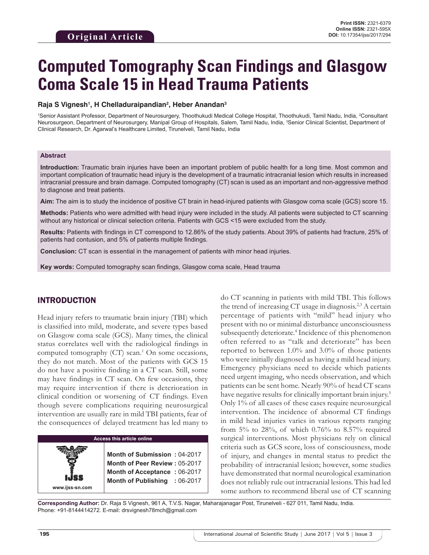# **Computed Tomography Scan Findings and Glasgow Coma Scale 15 in Head Trauma Patients**

#### **Raja S Vignesh1 , H Chelladuraipandian2 , Heber Anandan3**

1 Senior Assistant Professor, Department of Neurosurgery, Thoothukudi Medical College Hospital, Thoothukudi, Tamil Nadu, India, 2 Consultant Neurosurgeon, Department of Neurosurgery, Manipal Group of Hospitals, Salem, Tamil Nadu, India, <sup>3</sup>Senior Clinical Scientist, Department of Clinical Research, Dr. Agarwal's Healthcare Limited, Tirunelveli, Tamil Nadu, India

#### **Abstract**

**Introduction:** Traumatic brain injuries have been an important problem of public health for a long time. Most common and important complication of traumatic head injury is the development of a traumatic intracranial lesion which results in increased intracranial pressure and brain damage. Computed tomography (CT) scan is used as an important and non-aggressive method to diagnose and treat patients.

**Aim:** The aim is to study the incidence of positive CT brain in head-injured patients with Glasgow coma scale (GCS) score 15.

**Methods:** Patients who were admitted with head injury were included in the study. All patients were subjected to CT scanning without any historical or clinical selection criteria. Patients with GCS <15 were excluded from the study.

**Results:** Patients with findings in CT correspond to 12.86% of the study patients. About 39% of patients had fracture, 25% of patients had contusion, and 5% of patients multiple findings.

**Conclusion:** CT scan is essential in the management of patients with minor head injuries.

**Key words:** Computed tomography scan findings, Glasgow coma scale, Head trauma

# INTRODUCTION

Head injury refers to traumatic brain injury (TBI) which is classified into mild, moderate, and severe types based on Glasgow coma scale (GCS). Many times, the clinical status correlates well with the radiological findings in computed tomography (CT) scan.<sup>1</sup> On some occasions, they do not match. Most of the patients with GCS 15 do not have a positive finding in a CT scan. Still, some may have findings in CT scan. On few occasions, they may require intervention if there is deterioration in clinical condition or worsening of CT findings. Even though severe complications requiring neurosurgical intervention are usually rare in mild TBI patients, fear of the consequences of delayed treatment has led many to

## **Access this article online**

**Month of Submission :** 04-2017 **Month of Peer Review :** 05-2017 **Month of Acceptance :** 06-2017 **Month of Publishing :** 06-2017 do CT scanning in patients with mild TBI. This follows the trend of increasing CT usage in diagnosis.<sup>2,3</sup> A certain percentage of patients with "mild" head injury who present with no or minimal disturbance unconsciousness subsequently deteriorate.<sup>4</sup> Incidence of this phenomenon often referred to as "talk and deteriorate" has been reported to between 1.0% and 3.0% of those patients who were initially diagnosed as having a mild head injury. Emergency physicians need to decide which patients need urgent imaging, who needs observation, and which patients can be sent home. Nearly 90% of head CT scans have negative results for clinically important brain injury.<sup>5</sup> Only 1% of all cases of these cases require neurosurgical intervention. The incidence of abnormal CT findings in mild head injuries varies in various reports ranging from 5% to 28%, of which 0.76% to 8.57% required surgical interventions. Most physicians rely on clinical criteria such as GCS score, loss of consciousness, mode of injury, and changes in mental status to predict the probability of intracranial lesion; however, some studies have demonstrated that normal neurological examination does not reliably rule out intracranial lesions. This had led some authors to recommend liberal use of CT scanning

**Corresponding Author:** Dr. Raja S Vignesh, 961 A, T.V.S. Nagar, Maharajanagar Post, Tirunelveli - 627 011, Tamil Nadu, India. Phone: +91-8144414272. E-mail: drsvignesh78mch@gmail.com

**www.ijss-sn.com**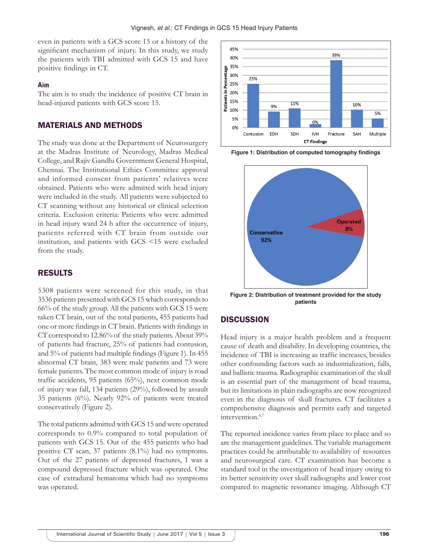even in patients with a GCS score 15 or a history of the significant mechanism of injury. In this study, we study the patients with TBI admitted with GCS 15 and have positive findings in CT.

#### **Aim**

The aim is to study the incidence of positive CT brain in head-injured patients with GCS score 15.

### MATERIALS AND METHODS

The study was done at the Department of Neurosurgery at the Madras Institute of Neurology, Madras Medical College, and Rajiv Gandhi Government General Hospital, Chennai. The Institutional Ethics Committee approval and informed consent from patients' relatives were obtained. Patients who were admitted with head injury were included in the study. All patients were subjected to CT scanning without any historical or clinical selection criteria. Exclusion criteria: Patients who were admitted in head injury ward 24 h after the occurrence of injury, patients referred with CT brain from outside our institution, and patients with GCS <15 were excluded from the study.

## RESULTS

5308 patients were screened for this study, in that 3536 patients presented with GCS 15 which corresponds to 66% of the study group. All the patients with GCS 15 were taken CT brain, out of the total patients, 455 patients had one or more findings in CT brain. Patients with findings in CT correspond to 12.86% of the study patients. About 39% of patients had fracture, 25% of patients had contusion, and 5% of patients had multiple findings (Figure 1). In 455 abnormal CT brain, 383 were male patients and 73 were female patients. The most common mode of injury is road traffic accidents, 95 patients (65%), next common mode of injury was fall, 134 patients (29%), followed by assault 35 patients (6%). Nearly 92% of patients were treated conservatively (Figure 2).

The total patients admitted with GCS 15 and were operated corresponds to 0.9% compared to total population of patients with GCS 15. Out of the 455 patients who had positive CT scan, 37 patients (8.1%) had no symptoms. Out of the 27 patients of depressed fractures, 1 was a compound depressed fracture which was operated. One case of extradural hematoma which had no symptoms was operated.



**Figure 1: Distribution of computed tomography findings**



**Figure 2: Distribution of treatment provided for the study patients**

## **DISCUSSION**

Head injury is a major health problem and a frequent cause of death and disability. In developing countries, the incidence of TBI is increasing as traffic increases, besides other confounding factors such as industrialization, falls, and ballistic trauma. Radiographic examination of the skull is an essential part of the management of head trauma, but its limitations in plain radiographs are now recognized even in the diagnosis of skull fractures. CT facilitates a comprehensive diagnosis and permits early and targeted intervention.<sup>6,7</sup>

The reported incidence varies from place to place and so are the management guidelines. The variable management practices could be attributable to availability of resources and neurosurgical care. CT examination has become a standard tool in the investigation of head injury owing to its better sensitivity over skull radiographs and lower cost compared to magnetic resonance imaging. Although CT